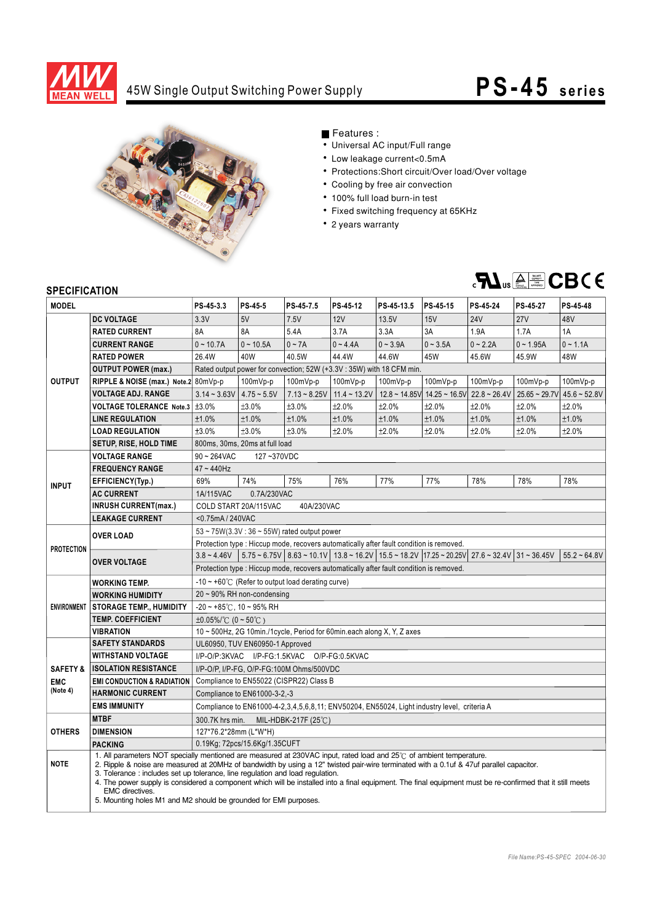

### 45W Single Output Switching Power Supply

# **PS-45 series**



### Features :

- Universal AC input/Full range
- Low leakage current<0.5mA
- Protections: Short circuit/Over load/Over voltage
- Cooling by free air convection
- 100% full load burn-in test
- Fixed switching frequency at 65KHz
- 2 years warranty



#### **SPECIFICATION**

| <b>MODEL</b>        |                                                                                                                                                                                                                                                                                                                                                                                                                                                                                                                                                                                                              | PS-45-3.3                                                                                                                                                           | PS-45-5                       | PS-45-7.5      | PS-45-12       | PS-45-13.5 | PS-45-15                                 | PS-45-24       | PS-45-27           | <b>PS-45-48</b> |  |
|---------------------|--------------------------------------------------------------------------------------------------------------------------------------------------------------------------------------------------------------------------------------------------------------------------------------------------------------------------------------------------------------------------------------------------------------------------------------------------------------------------------------------------------------------------------------------------------------------------------------------------------------|---------------------------------------------------------------------------------------------------------------------------------------------------------------------|-------------------------------|----------------|----------------|------------|------------------------------------------|----------------|--------------------|-----------------|--|
|                     | <b>DC VOLTAGE</b>                                                                                                                                                                                                                                                                                                                                                                                                                                                                                                                                                                                            | 3.3V                                                                                                                                                                | 5V                            | 7.5V           | 12V            | 13.5V      | 15V                                      | <b>24V</b>     | 27V                | 48V             |  |
| <b>OUTPUT</b>       | <b>RATED CURRENT</b>                                                                                                                                                                                                                                                                                                                                                                                                                                                                                                                                                                                         | 8A                                                                                                                                                                  | 8A                            | 5.4A           | 3.7A           | 3.3A       | 3A                                       | 1.9A           | 1.7A               | 1A              |  |
|                     | <b>CURRENT RANGE</b>                                                                                                                                                                                                                                                                                                                                                                                                                                                                                                                                                                                         | $0 - 10.7A$                                                                                                                                                         | $0 - 10.5A$                   | $0 - 7A$       | $0 - 4.4A$     | $0 - 3.9A$ | $0 - 3.5A$                               | $0 - 2.2A$     | $0 - 1.95A$        | $0 - 1.1A$      |  |
|                     | <b>RATED POWER</b>                                                                                                                                                                                                                                                                                                                                                                                                                                                                                                                                                                                           | 26.4W                                                                                                                                                               | 40W                           | 40.5W          | 44.4W          | 44.6W      | 45W                                      | 45.6W          | 45.9W              | 48W             |  |
|                     | <b>OUTPUT POWER (max.)</b>                                                                                                                                                                                                                                                                                                                                                                                                                                                                                                                                                                                   | Rated output power for convection; 52W (+3.3V: 35W) with 18 CFM min.                                                                                                |                               |                |                |            |                                          |                |                    |                 |  |
|                     | RIPPLE & NOISE (max.) Note.2 80mVp-p                                                                                                                                                                                                                                                                                                                                                                                                                                                                                                                                                                         |                                                                                                                                                                     | 100mVp-p                      | 100mVp-p       | 100mVp-p       | $100mVp-p$ | 100mVp-p                                 | 100mVp-p       | 100mVp-p           | 100mVp-p        |  |
|                     | <b>VOLTAGE ADJ. RANGE</b>                                                                                                                                                                                                                                                                                                                                                                                                                                                                                                                                                                                    | $3.14 - 3.63V$                                                                                                                                                      | $4.75 - 5.5V$                 | $7.13 - 8.25V$ | $11.4 - 13.2V$ |            | $12.8 \sim 14.85 \text{V}$ 14.25 ~ 16.5V | $22.8 - 26.4V$ | $25.65 \sim 29.7V$ | $45.6 - 52.8V$  |  |
|                     | <b>VOLTAGE TOLERANCE Note.3</b>                                                                                                                                                                                                                                                                                                                                                                                                                                                                                                                                                                              | ±3.0%                                                                                                                                                               | ±3.0%                         | ±3.0%          | ±2.0%          | ±2.0%      | ±2.0%                                    | ±2.0%          | ±2.0%              | ±2.0%           |  |
|                     | <b>LINE REGULATION</b>                                                                                                                                                                                                                                                                                                                                                                                                                                                                                                                                                                                       | ±1.0%                                                                                                                                                               | ±1.0%                         | ±1.0%          | ±1.0%          | ±1.0%      | ±1.0%                                    | ±1.0%          | ±1.0%              | ±1.0%           |  |
|                     | <b>LOAD REGULATION</b>                                                                                                                                                                                                                                                                                                                                                                                                                                                                                                                                                                                       | ±3.0%                                                                                                                                                               | ±3.0%                         | ±3.0%          | ±2.0%          | ±2.0%      | ±2.0%                                    | ±2.0%          | ±2.0%              | ±2.0%           |  |
|                     | SETUP, RISE, HOLD TIME                                                                                                                                                                                                                                                                                                                                                                                                                                                                                                                                                                                       | 800ms, 30ms, 20ms at full load                                                                                                                                      |                               |                |                |            |                                          |                |                    |                 |  |
|                     | <b>VOLTAGE RANGE</b>                                                                                                                                                                                                                                                                                                                                                                                                                                                                                                                                                                                         | $90 - 264$ VAC<br>127~370VDC                                                                                                                                        |                               |                |                |            |                                          |                |                    |                 |  |
| <b>INPUT</b>        | <b>FREQUENCY RANGE</b>                                                                                                                                                                                                                                                                                                                                                                                                                                                                                                                                                                                       | $47 - 440$ Hz                                                                                                                                                       |                               |                |                |            |                                          |                |                    |                 |  |
|                     | EFFICIENCY(Typ.)                                                                                                                                                                                                                                                                                                                                                                                                                                                                                                                                                                                             | 69%                                                                                                                                                                 | 74%                           | 75%            | 76%            | 77%        | 77%                                      | 78%            | 78%                | 78%             |  |
|                     | <b>AC CURRENT</b>                                                                                                                                                                                                                                                                                                                                                                                                                                                                                                                                                                                            | 1A/115VAC<br>0.7A/230VAC                                                                                                                                            |                               |                |                |            |                                          |                |                    |                 |  |
|                     | <b>INRUSH CURRENT(max.)</b>                                                                                                                                                                                                                                                                                                                                                                                                                                                                                                                                                                                  | COLD START 20A/115VAC<br>40A/230VAC                                                                                                                                 |                               |                |                |            |                                          |                |                    |                 |  |
|                     | <b>LEAKAGE CURRENT</b>                                                                                                                                                                                                                                                                                                                                                                                                                                                                                                                                                                                       |                                                                                                                                                                     | <0.75mA / 240VAC              |                |                |            |                                          |                |                    |                 |  |
| <b>PROTECTION</b>   | <b>OVER LOAD</b>                                                                                                                                                                                                                                                                                                                                                                                                                                                                                                                                                                                             | $53 \sim 75W(3.3V: 36 \sim 55W)$ rated output power                                                                                                                 |                               |                |                |            |                                          |                |                    |                 |  |
|                     |                                                                                                                                                                                                                                                                                                                                                                                                                                                                                                                                                                                                              | Protection type : Hiccup mode, recovers automatically after fault condition is removed.                                                                             |                               |                |                |            |                                          |                |                    |                 |  |
|                     | <b>OVER VOLTAGE</b>                                                                                                                                                                                                                                                                                                                                                                                                                                                                                                                                                                                          | $5.75 \times 6.75V$ 8.63 $\sim$ 10.1V 13.8 $\sim$ 16.2V 15.5 $\sim$ 18.2V 17.25 $\sim$ 20.25V 27.6 $\sim$ 32.4V 31 $\sim$ 36.45V<br>$3.8 - 4.46V$<br>$55.2 - 64.8V$ |                               |                |                |            |                                          |                |                    |                 |  |
|                     |                                                                                                                                                                                                                                                                                                                                                                                                                                                                                                                                                                                                              | Protection type : Hiccup mode, recovers automatically after fault condition is removed.                                                                             |                               |                |                |            |                                          |                |                    |                 |  |
|                     | <b>WORKING TEMP.</b>                                                                                                                                                                                                                                                                                                                                                                                                                                                                                                                                                                                         | $-10 \sim +60^{\circ}$ (Refer to output load derating curve)                                                                                                        |                               |                |                |            |                                          |                |                    |                 |  |
|                     | <b>WORKING HUMIDITY</b>                                                                                                                                                                                                                                                                                                                                                                                                                                                                                                                                                                                      | $20 \sim 90\%$ RH non-condensing                                                                                                                                    |                               |                |                |            |                                          |                |                    |                 |  |
|                     | ENVIRONMENT   STORAGE TEMP., HUMIDITY                                                                                                                                                                                                                                                                                                                                                                                                                                                                                                                                                                        | $-20 \sim +85^{\circ}$ C, 10 ~ 95% RH                                                                                                                               |                               |                |                |            |                                          |                |                    |                 |  |
|                     | <b>TEMP. COEFFICIENT</b>                                                                                                                                                                                                                                                                                                                                                                                                                                                                                                                                                                                     | $\pm 0.05\%$ (0 ~ 50°C)                                                                                                                                             |                               |                |                |            |                                          |                |                    |                 |  |
|                     | <b>VIBRATION</b>                                                                                                                                                                                                                                                                                                                                                                                                                                                                                                                                                                                             | 10 ~ 500Hz, 2G 10min./1cycle, Period for 60min.each along X, Y, Z axes                                                                                              |                               |                |                |            |                                          |                |                    |                 |  |
|                     | <b>SAFETY STANDARDS</b>                                                                                                                                                                                                                                                                                                                                                                                                                                                                                                                                                                                      | UL60950, TUV EN60950-1 Approved                                                                                                                                     |                               |                |                |            |                                          |                |                    |                 |  |
|                     | <b>WITHSTAND VOLTAGE</b>                                                                                                                                                                                                                                                                                                                                                                                                                                                                                                                                                                                     | I/P-O/P:3KVAC I/P-FG:1.5KVAC O/P-FG:0.5KVAC                                                                                                                         |                               |                |                |            |                                          |                |                    |                 |  |
| <b>SAFETY &amp;</b> | <b>ISOLATION RESISTANCE</b>                                                                                                                                                                                                                                                                                                                                                                                                                                                                                                                                                                                  | I/P-O/P, I/P-FG, O/P-FG:100M Ohms/500VDC                                                                                                                            |                               |                |                |            |                                          |                |                    |                 |  |
| <b>EMC</b>          | <b>EMI CONDUCTION &amp; RADIATION</b>                                                                                                                                                                                                                                                                                                                                                                                                                                                                                                                                                                        | Compliance to EN55022 (CISPR22) Class B                                                                                                                             |                               |                |                |            |                                          |                |                    |                 |  |
| (Note 4)            | <b>HARMONIC CURRENT</b>                                                                                                                                                                                                                                                                                                                                                                                                                                                                                                                                                                                      |                                                                                                                                                                     | Compliance to EN61000-3-2,-3  |                |                |            |                                          |                |                    |                 |  |
|                     | <b>EMS IMMUNITY</b>                                                                                                                                                                                                                                                                                                                                                                                                                                                                                                                                                                                          | Compliance to EN61000-4-2,3,4,5,6,8,11; ENV50204, EN55024, Light industry level, criteria A                                                                         |                               |                |                |            |                                          |                |                    |                 |  |
|                     | <b>MTBF</b>                                                                                                                                                                                                                                                                                                                                                                                                                                                                                                                                                                                                  | 300.7K hrs min.<br>MIL-HDBK-217F (25℃)                                                                                                                              |                               |                |                |            |                                          |                |                    |                 |  |
| <b>OTHERS</b>       | <b>DIMENSION</b>                                                                                                                                                                                                                                                                                                                                                                                                                                                                                                                                                                                             | 127*76.2*28mm (L*W*H)                                                                                                                                               |                               |                |                |            |                                          |                |                    |                 |  |
|                     | <b>PACKING</b>                                                                                                                                                                                                                                                                                                                                                                                                                                                                                                                                                                                               |                                                                                                                                                                     | 0.19Kg; 72pcs/15.6Kg/1.35CUFT |                |                |            |                                          |                |                    |                 |  |
| <b>NOTE</b>         | 1. All parameters NOT specially mentioned are measured at 230VAC input, rated load and 25°C of ambient temperature.<br>2. Ripple & noise are measured at 20MHz of bandwidth by using a 12" twisted pair-wire terminated with a 0.1uf & 47uf parallel capacitor.<br>3. Tolerance: includes set up tolerance, line regulation and load regulation.<br>4. The power supply is considered a component which will be installed into a final equipment. The final equipment must be re-confirmed that it still meets<br><b>EMC</b> directives.<br>5. Mounting holes M1 and M2 should be grounded for EMI purposes. |                                                                                                                                                                     |                               |                |                |            |                                          |                |                    |                 |  |